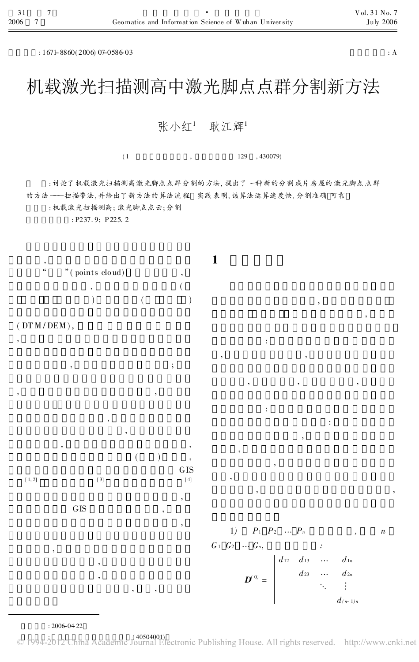$: 167 + 8860(2006)$  07-0586-03  $: A$ 

## 机载激光扫描测高中激光脚点点群分割新方法

张小红1 耿江辉1

 $(1, 129, 430079)$ 

: 讨论了机载激光扫描测高激光脚点点群分割的方法, 提出了一种新的分割成片房屋的激光脚点点群 的方法 ——扫描带法, 并给出了新方法的算法流程 实践表明, 该算法运算速度快, 分割准确 可靠

: 机载激光扫描测高; 激光脚点点云; 分割

: P237. 9; P225. 2





,

,  $\ddot{\hspace{1cm}}$ ,  $\ddot{\hspace{1cm}}$ ,  $\ddot{\hspace{1cm}}$ ,  $\ddot{\hspace{1cm}}$ ,  $\ddot{\hspace{1cm}}$ ,  $\ddot{\hspace{1cm}}$ ,  $\ddot{\hspace{1cm}}$ ,  $\ddot{\hspace{1cm}}$ ,  $\ddot{\hspace{1cm}}$ ,  $\ddot{\hspace{1cm}}$ ,  $\ddot{\hspace{1cm}}$ ,  $\ddot{\hspace{1cm}}$ ,  $\ddot{\hspace{1cm}}$ ,  $\ddot{\hspace{1cm}}$ ,  $\ddot{\hspace{1cm}}$ ,  $\ddot{\hspace{1$ 

, ,

, , , ,  $($  ),

> , ,

> > , ,

 $[ 1, 2 ]$   $[ 3 ]$   $[ 4 ]$ 

G<sub>IS</sub>

1)  $P_1$   $P_2$  ...  $P_n$  , n  $G_1 \ G_2 \ \cdots \ G_n$  $D^{(0)} =$  $d_{12}$   $d_{13}$  ...  $d_{1n}$  $d_{23}$  ...  $d_{2n}$  $\sim 10$  $d$  (n- 1) n

,

, , ,

,

:

, ,

: , ,

:

,

,

,

,

: 2006-04-22

,

© 1994-2012 China Academic Journal Electronic Publishing House. All rights reserved. http://www.cnki.net

GIS

,

,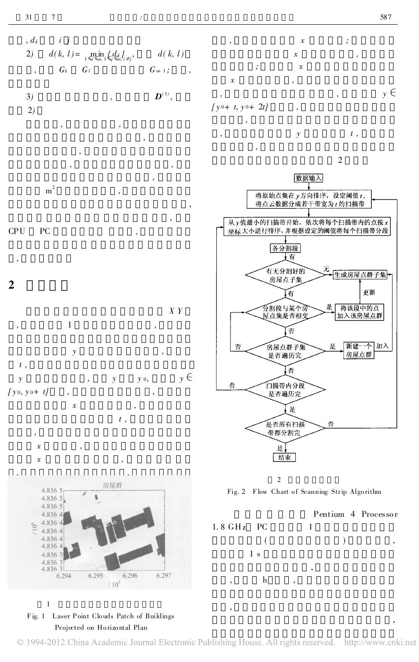,



1

Fig. 1 Laser Point Clo uds Patch of Buildings Pr ojected on Ho rizo ntal Plan

© 1994-2012 China Academic Journal Electronic Publishing House. All rights reserved. http://www.cnki.net

,